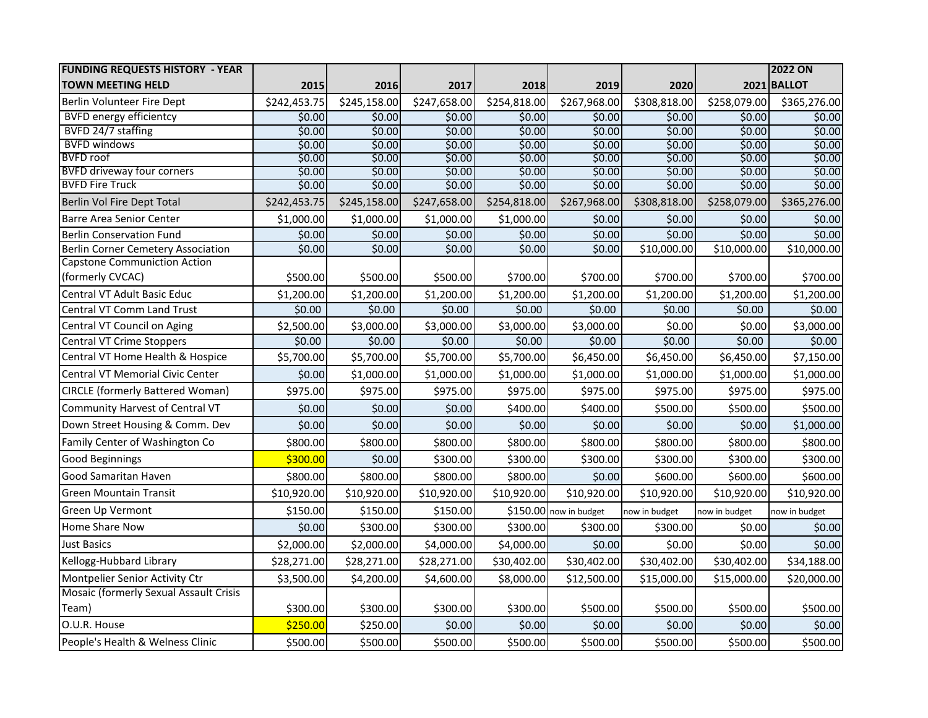| <b>FUNDING REQUESTS HISTORY - YEAR</b>    |              |              |              |              |                        |               |               | <b>2022 ON</b> |
|-------------------------------------------|--------------|--------------|--------------|--------------|------------------------|---------------|---------------|----------------|
| <b>TOWN MEETING HELD</b>                  | 2015         | 2016         | 2017         | 2018         | 2019                   | 2020          |               | 2021 BALLOT    |
| Berlin Volunteer Fire Dept                | \$242,453.75 | \$245,158.00 | \$247,658.00 | \$254,818.00 | \$267,968.00           | \$308,818.00  | \$258,079.00  | \$365,276.00   |
| <b>BVFD energy efficientcy</b>            | \$0.00       | \$0.00       | \$0.00       | \$0.00       | \$0.00                 | \$0.00        | \$0.00        | \$0.00         |
| BVFD 24/7 staffing                        | \$0.00       | \$0.00       | \$0.00       | \$0.00       | \$0.00                 | \$0.00        | \$0.00        | \$0.00         |
| <b>BVFD windows</b>                       | \$0.00       | \$0.00       | \$0.00       | \$0.00       | \$0.00                 | \$0.00        | \$0.00        | \$0.00         |
| <b>BVFD</b> roof                          | \$0.00       | \$0.00       | \$0.00       | \$0.00       | \$0.00                 | \$0.00        | \$0.00        | \$0.00         |
| <b>BVFD driveway four corners</b>         | \$0.00       | \$0.00       | \$0.00       | \$0.00       | \$0.00                 | \$0.00        | \$0.00        | \$0.00         |
| <b>BVFD Fire Truck</b>                    | \$0.00       | \$0.00       | \$0.00       | \$0.00       | \$0.00                 | \$0.00        | \$0.00        | \$0.00         |
| Berlin Vol Fire Dept Total                | \$242,453.75 | \$245,158.00 | \$247,658.00 | \$254,818.00 | \$267,968.00           | \$308,818.00  | \$258,079.00  | \$365,276.00   |
| <b>Barre Area Senior Center</b>           | \$1,000.00   | \$1,000.00   | \$1,000.00   | \$1,000.00   | \$0.00                 | \$0.00        | \$0.00        | \$0.00         |
| <b>Berlin Conservation Fund</b>           | \$0.00       | \$0.00       | \$0.00       | \$0.00       | \$0.00                 | \$0.00        | \$0.00        | \$0.00         |
| <b>Berlin Corner Cemetery Association</b> | \$0.00       | \$0.00       | \$0.00       | \$0.00       | \$0.00                 | \$10,000.00   | \$10,000.00   | \$10,000.00    |
| <b>Capstone Communiction Action</b>       |              |              |              |              |                        |               |               |                |
| (formerly CVCAC)                          | \$500.00     | \$500.00     | \$500.00     | \$700.00     | \$700.00               | \$700.00      | \$700.00      | \$700.00       |
| Central VT Adult Basic Educ               | \$1,200.00   | \$1,200.00   | \$1,200.00   | \$1,200.00   | \$1,200.00             | \$1,200.00    | \$1,200.00    | \$1,200.00     |
| Central VT Comm Land Trust                | \$0.00       | \$0.00       | \$0.00       | \$0.00       | \$0.00                 | \$0.00        | \$0.00        | \$0.00         |
| Central VT Council on Aging               | \$2,500.00   | \$3,000.00   | \$3,000.00   | \$3,000.00   | \$3,000.00             | \$0.00        | \$0.00        | \$3,000.00     |
| Central VT Crime Stoppers                 | \$0.00       | \$0.00       | \$0.00       | \$0.00       | \$0.00                 | \$0.00        | 50.00         | \$0.00         |
| Central VT Home Health & Hospice          | \$5,700.00   | \$5,700.00   | \$5,700.00   | \$5,700.00   | \$6,450.00             | \$6,450.00    | \$6,450.00    | \$7,150.00     |
| Central VT Memorial Civic Center          | \$0.00       | \$1,000.00   | \$1,000.00   | \$1,000.00   | \$1,000.00             | \$1,000.00    | \$1,000.00    | \$1,000.00     |
| <b>CIRCLE (formerly Battered Woman)</b>   | \$975.00     | \$975.00     | \$975.00     | \$975.00     | \$975.00               | \$975.00      | \$975.00      | \$975.00       |
| Community Harvest of Central VT           | \$0.00       | \$0.00       | \$0.00       | \$400.00     | \$400.00               | \$500.00      | \$500.00      | \$500.00       |
| Down Street Housing & Comm. Dev           | \$0.00       | \$0.00       | \$0.00       | \$0.00       | \$0.00                 | \$0.00        | \$0.00        | \$1,000.00     |
| Family Center of Washington Co            | \$800.00     | \$800.00     | \$800.00     | \$800.00     | \$800.00               | \$800.00      | \$800.00      | \$800.00       |
| Good Beginnings                           | \$300.00     | \$0.00       | \$300.00     | \$300.00     | \$300.00               | \$300.00      | \$300.00      | \$300.00       |
| Good Samaritan Haven                      | \$800.00     | \$800.00     | \$800.00     | \$800.00     | \$0.00                 | \$600.00      | \$600.00      | \$600.00       |
| <b>Green Mountain Transit</b>             | \$10,920.00  | \$10,920.00  | \$10,920.00  | \$10,920.00  | \$10,920.00            | \$10,920.00   | \$10,920.00   | \$10,920.00    |
| Green Up Vermont                          | \$150.00     | \$150.00     | \$150.00     |              | \$150.00 now in budget | now in budget | now in budget | now in budget  |
| Home Share Now                            | \$0.00       | \$300.00     | \$300.00     | \$300.00     | \$300.00               | \$300.00      | \$0.00        | \$0.00         |
| <b>Just Basics</b>                        | \$2,000.00   | \$2,000.00   | \$4,000.00   | \$4,000.00   | \$0.00                 | \$0.00        | \$0.00        | \$0.00         |
| Kellogg-Hubbard Library                   | \$28,271.00  | \$28,271.00  | \$28,271.00  | \$30,402.00  | \$30,402.00            | \$30,402.00   | \$30,402.00   | \$34,188.00    |
| Montpelier Senior Activity Ctr            | \$3,500.00   | \$4,200.00   | \$4,600.00   | \$8,000.00   | \$12,500.00            | \$15,000.00   | \$15,000.00   | \$20,000.00    |
| Mosaic (formerly Sexual Assault Crisis    |              |              |              |              |                        |               |               |                |
| Team)                                     | \$300.00     | \$300.00     | \$300.00     | \$300.00     | \$500.00               | \$500.00      | \$500.00      | \$500.00       |
| O.U.R. House                              | \$250.00     | \$250.00     | \$0.00       | \$0.00       | \$0.00                 | \$0.00        | \$0.00        | \$0.00         |
| People's Health & Welness Clinic          | \$500.00     | \$500.00     | \$500.00     | \$500.00     | \$500.00               | \$500.00      | \$500.00      | \$500.00       |